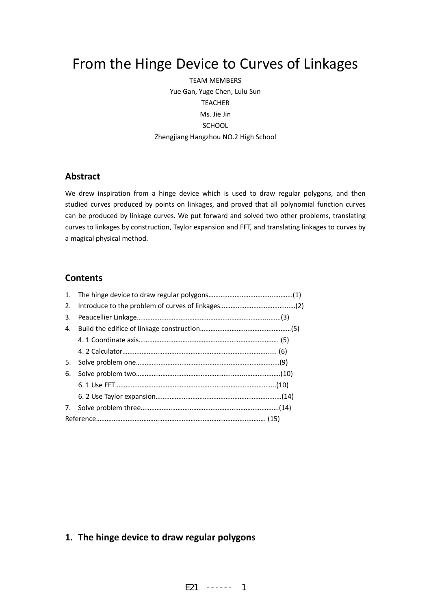# From the Hinge Device to Curves of Linkages

TEAM MEMBERS Yue Gan, Yuge Chen, Lulu Sun TEACHER Ms. Jie Jin SCHOOL Zhengjiang Hangzhou NO.2 High School

# **Abstract**

We drew inspiration from a hinge device which is used to draw regular polygons, and then studied curves produced by points on linkages, and proved that all polynomial function curves can be produced by linkage curves. We put forward and solved two other problems, translating curves to linkages by construction, Taylor expansion and FFT, and translating linkages to curves by a magical physical method.

### **Contents**

| 1. |  |
|----|--|
| 2. |  |
| 3. |  |
| 4. |  |
|    |  |
|    |  |
| 5. |  |
| 6. |  |
|    |  |
|    |  |
| 7. |  |
|    |  |

# **1. The hinge device to draw regular polygons**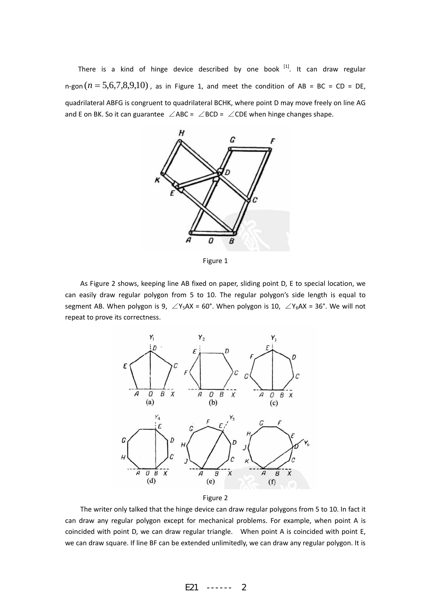There is a kind of hinge device described by one book  $^{[1]}$ . It can draw regular n-gon  $(n = 5,6,7,8,9,10)$ , as in Figure 1, and meet the condition of AB = BC = CD = DE, quadrilateral ABFG is congruent to quadrilateral BCHK, where point D may move freely on line AG and E on BK. So it can guarantee ∠ABC = ∠BCD = ∠CDE when hinge changes shape.



Figure 1

As Figure 2 shows, keeping line AB fixed on paper, sliding point D, E to special location, we can easily draw regular polygon from 5 to 10. The regular polygon's side length is equal to segment AB. When polygon is 9,  $\angle$ Y<sub>5</sub>AX = 60°. When polygon is 10,  $\angle$ Y<sub>6</sub>AX = 36°. We will not repeat to prove its correctness.



Figure 2

The writer only talked that the hinge device can draw regular polygons from 5 to 10. In fact it can draw any regular polygon except for mechanical problems. For example, when point A is coincided with point D, we can draw regular triangle. When point A is coincided with point E, we can draw square. If line BF can be extended unlimitedly, we can draw any regular polygon. It is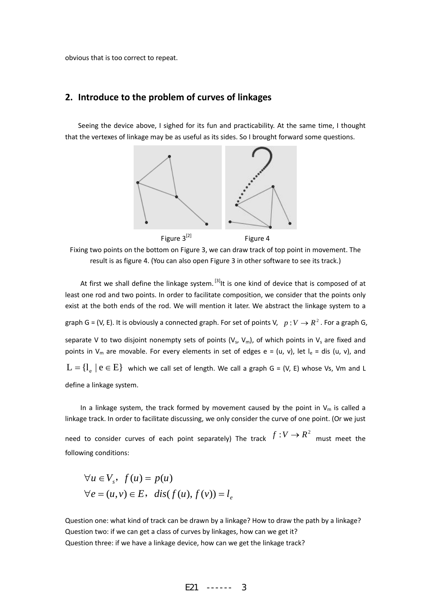obvious that is too correct to repeat.

### **2. Introduce to the problem of curves of linkages**

Seeing the device above, I sighed for its fun and practicability. At the same time, I thought that the vertexes of linkage may be as useful as its sides. So I brought forward some questions.



Fixing two points on the bottom on Figure 3, we can draw track of top point in movement. The result is as figure 4. (You can also open Figure 3 in other software to see its track.)

At first we shall define the linkage system.  $\left[3\right]$  is one kind of device that is composed of at least one rod and two points. In order to facilitate composition, we consider that the points only exist at the both ends of the rod. We will mention it later. We abstract the linkage system to a graph G = (V, E). It is obviously a connected graph. For set of points V,  $p : V \to R^2$ . For a graph G, separate V to two disjoint nonempty sets of points ( $V_s$ ,  $V_m$ ), of which points in  $V_s$  are fixed and points in V<sub>m</sub> are movable. For every elements in set of edges e = (u, v), let  $I_e$  = dis (u, v), and  $L = \{l_{\circ} \mid e \in E\}$  which we call set of length. We call a graph G = (V, E) whose Vs, Vm and L define a linkage system.

In a linkage system, the track formed by movement caused by the point in  $V_m$  is called a linkage track. In order to facilitate discussing, we only consider the curve of one point. (Or we just

need to consider curves of each point separately) The track  $f:V\to R^2$  must meet the following conditions:

$$
\forall u \in V_s, f(u) = p(u)
$$
  

$$
\forall e = (u, v) \in E, \quad \text{dis}(f(u), f(v)) = l_e
$$

Question one: what kind of track can be drawn by a linkage? How to draw the path by a linkage? Question two: if we can get a class of curves by linkages, how can we get it? Question three: if we have a linkage device, how can we get the linkage track?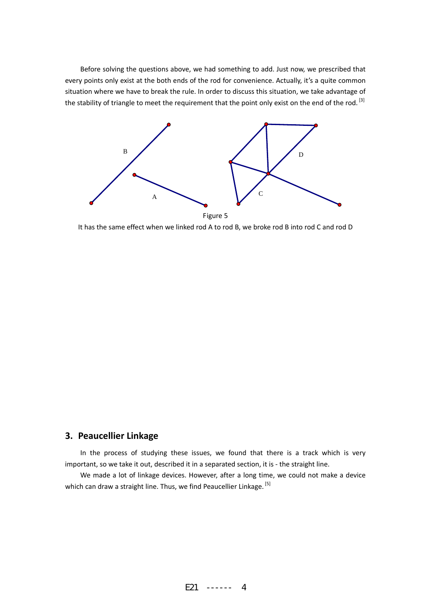Before solving the questions above, we had something to add. Just now, we prescribed that every points only exist at the both ends of the rod for convenience. Actually, it's a quite common situation where we have to break the rule. In order to discuss this situation, we take advantage of the stability of triangle to meet the requirement that the point only exist on the end of the rod. [3]



It has the same effect when we linked rod A to rod B, we broke rod B into rod C and rod D

# **3. Peaucellier Linkage**

In the process of studying these issues, we found that there is a track which is very important, so we take it out, described it in a separated section, it is - the straight line.

We made a lot of linkage devices. However, after a long time, we could not make a device which can draw a straight line. Thus, we find Peaucellier Linkage. [5]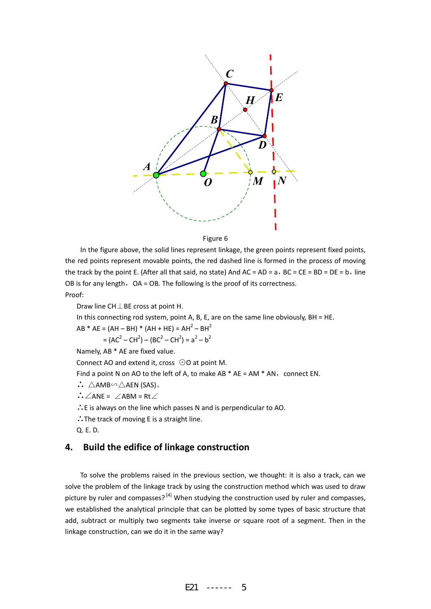

Figure 6

In the figure above, the solid lines represent linkage, the green points represent fixed points, the red points represent movable points, the red dashed line is formed in the process of moving the track by the point E. (After all that said, no state) And  $AC = AD = a$ ,  $BC = CE = BD = DE = b$ , line OB is for any length,  $OA = OB$ . The following is the proof of its correctness. Proof:

Draw line CH⊥BE cross at point H.

In this connecting rod system, point A, B, E, are on the same line obviously, BH = HE.

 $AB * AE = (AH - BH) * (AH + HE) = AH<sup>2</sup> - BH<sup>2</sup>$  $= (AC<sup>2</sup> - CH<sup>2</sup>) - (BC<sup>2</sup> - CH<sup>2</sup>) = a<sup>2</sup> - b<sup>2</sup>$ 

Namely, AB \* AE are fixed value.

Connect AO and extend it, cross ⊙O at point M.

Find a point N on AO to the left of A, to make AB  $*$  AE = AM  $*$  AN, connect EN.

- ∴ △AMB∽△AEN (SAS)。
- ∴∠ANE = ∠ABM = Rt∠

∴E is always on the line which passes N and is perpendicular to AO.

∴The track of moving E is a straight line.

Q. E. D.

### **4. Build the edifice of linkage construction**

To solve the problems raised in the previous section, we thought: it is also a track, can we solve the problem of the linkage track by using the construction method which was used to draw picture by ruler and compasses?<sup>[4]</sup> When studying the construction used by ruler and compasses, we established the analytical principle that can be plotted by some types of basic structure that add, subtract or multiply two segments take inverse or square root of a segment. Then in the linkage construction, can we do it in the same way?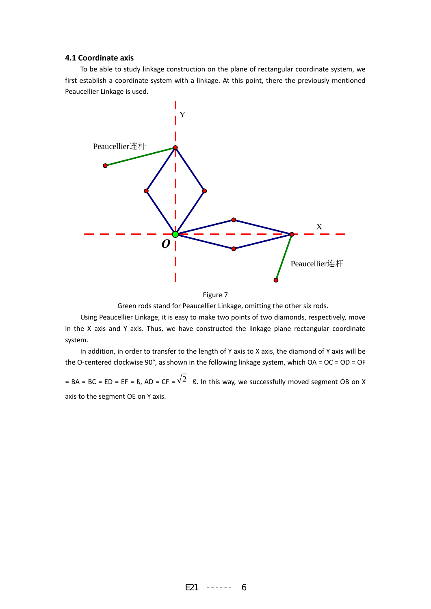#### **4.1 Coordinate axis**

To be able to study linkage construction on the plane of rectangular coordinate system, we first establish a coordinate system with a linkage. At this point, there the previously mentioned Peaucellier Linkage is used.



Figure 7

Green rods stand for Peaucellier Linkage, omitting the other six rods.

Using Peaucellier Linkage, it is easy to make two points of two diamonds, respectively, move in the X axis and Y axis. Thus, we have constructed the linkage plane rectangular coordinate system.

In addition, in order to transfer to the length of Y axis to X axis, the diamond of Y axis will be the O-centered clockwise 90°, as shown in the following linkage system, which  $OA = OC = OD = OF$ 

= BA = BC = ED = EF =  $\ell$ , AD = CF =  $\sqrt{2}$   $\ell$ . In this way, we successfully moved segment OB on X axis to the segment OE on Y axis.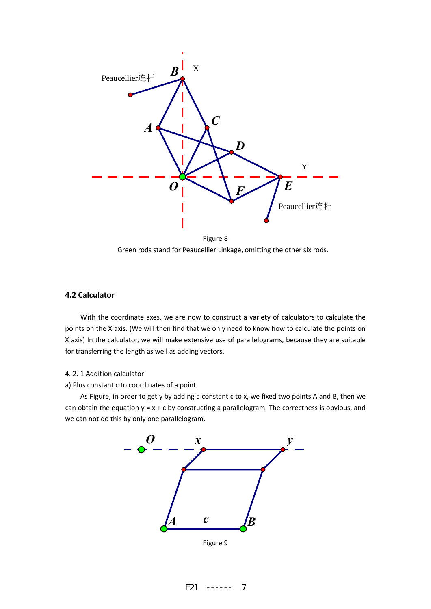

Figure 8 Green rods stand for Peaucellier Linkage, omitting the other six rods.

#### **4.2 Calculator**

With the coordinate axes, we are now to construct a variety of calculators to calculate the points on the X axis. (We will then find that we only need to know how to calculate the points on X axis) In the calculator, we will make extensive use of parallelograms, because they are suitable for transferring the length as well as adding vectors.

#### 4. 2. 1 Addition calculator

a) Plus constant c to coordinates of a point

As Figure, in order to get y by adding a constant c to x, we fixed two points A and B, then we can obtain the equation  $y = x + c$  by constructing a parallelogram. The correctness is obvious, and we can not do this by only one parallelogram.



E21 ------ 7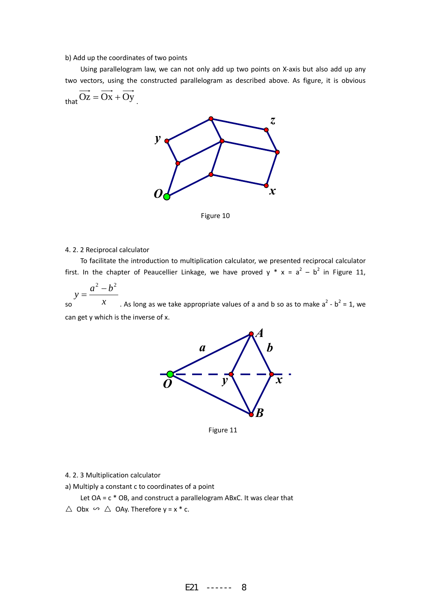#### b) Add up the coordinates of two points

Using parallelogram law, we can not only add up two points on X‐axis but also add up any two vectors, using the constructed parallelogram as described above. As figure, it is obvious

$$
_{that}Oz=Ox+Oy
$$



Figure 10

#### 4. 2. 2 Reciprocal calculator

To facilitate the introduction to multiplication calculator, we presented reciprocal calculator first. In the chapter of Peaucellier Linkage, we have proved  $y * x = a^2 - b^2$  in Figure 11,

 $\begin{array}{ccc} \text{so} & x \end{array}$  $a^2-b$  $y = \frac{a^2 - b^2}{a^2}$ . As long as we take appropriate values of a and b so as to make  $a^2 - b^2 = 1$ , we

can get y which is the inverse of x.



Figure 11

- 4. 2. 3 Multiplication calculator
- a) Multiply a constant c to coordinates of a point

Let  $OA = c * OB$ , and construct a parallelogram ABxC. It was clear that  $\triangle$  Obx  $\curvearrowright \triangle$  OAy. Therefore y = x  $*$  c.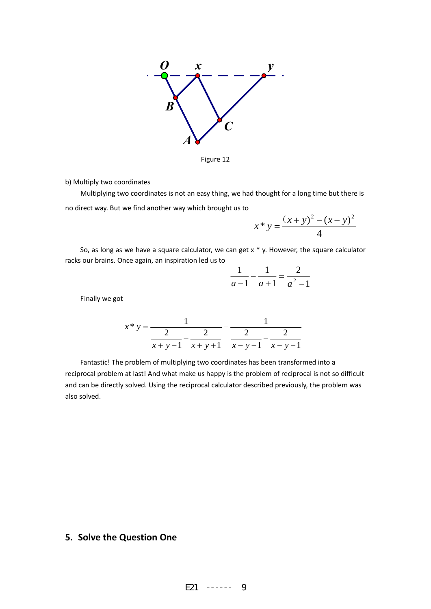

Figure 12

b) Multiply two coordinates

Multiplying two coordinates is not an easy thing, we had thought for a long time but there is no direct way. But we find another way which brought us to

$$
x * y = \frac{(x + y)^2 - (x - y)^2}{4}
$$

So, as long as we have a square calculator, we can get  $x * y$ . However, the square calculator racks our brains. Once again, an inspiration led us to

$$
\frac{1}{a-1} - \frac{1}{a+1} = \frac{2}{a^2 - 1}
$$

Finally we got

$$
x * y = \cfrac{1}{\cfrac{2}{x+y-1} - \cfrac{2}{x+y+1}} - \cfrac{1}{\cfrac{2}{x-y-1} - \cfrac{2}{x-y+1}}
$$

Fantastic! The problem of multiplying two coordinates has been transformed into a reciprocal problem at last! And what make us happy is the problem of reciprocal is not so difficult and can be directly solved. Using the reciprocal calculator described previously, the problem was also solved.

# **5. Solve the Question One**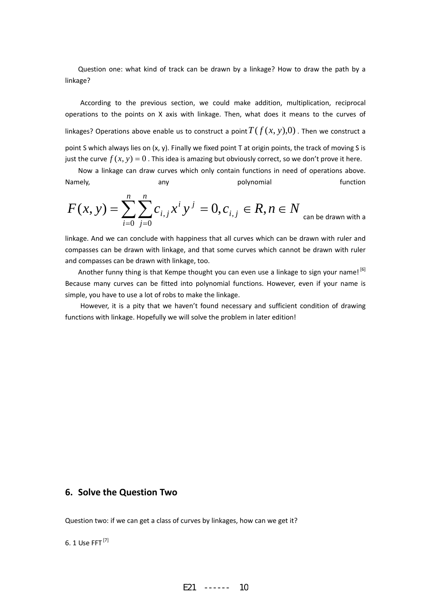Question one: what kind of track can be drawn by a linkage? How to draw the path by a linkage?

According to the previous section, we could make addition, multiplication, reciprocal operations to the points on X axis with linkage. Then, what does it means to the curves of linkages? Operations above enable us to construct a point  $T(f(x, y),0)$ . Then we construct a point S which always lies on (x, y). Finally we fixed point T at origin points, the track of moving S is just the curve  $f(x, y) = 0$ . This idea is amazing but obviously correct, so we don't prove it here.

Now a linkage can draw curves which only contain functions in need of operations above. Namely, any any polynomial function

$$
F(x, y) = \sum_{i=0}^{n} \sum_{j=0}^{n} c_{i,j} x^{i} y^{j} = 0, c_{i,j} \in R, n \in N
$$
 can be drawn with a

linkage. And we can conclude with happiness that all curves which can be drawn with ruler and compasses can be drawn with linkage, and that some curves which cannot be drawn with ruler and compasses can be drawn with linkage, too.

Another funny thing is that Kempe thought you can even use a linkage to sign your name!<sup>[6]</sup> Because many curves can be fitted into polynomial functions. However, even if your name is simple, you have to use a lot of robs to make the linkage.

However, it is a pity that we haven't found necessary and sufficient condition of drawing functions with linkage. Hopefully we will solve the problem in later edition!

### **6. Solve the Question Two**

Question two: if we can get a class of curves by linkages, how can we get it?

6. 1 Use FFT [7]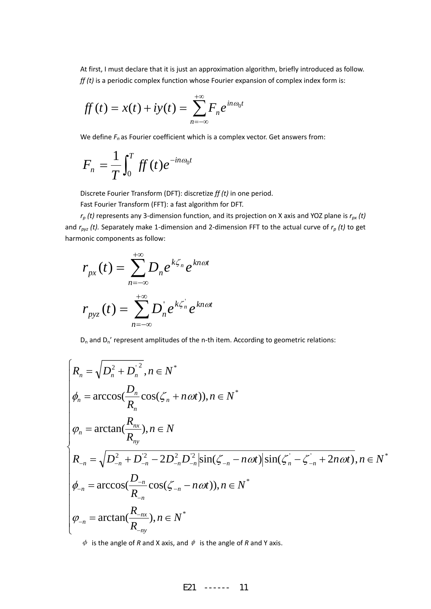At first, I must declare that it is just an approximation algorithm, briefly introduced as follow. *ff (t)* is a periodic complex function whose Fourier expansion of complex index form is:

$$
ff(t) = x(t) + iy(t) = \sum_{n=-\infty}^{+\infty} F_n e^{in\omega_0 t}
$$

We define  $F_n$  as Fourier coefficient which is a complex vector. Get answers from:

$$
F_n = \frac{1}{T} \int_0^T ff(t)e^{-in\omega_0 t}
$$

Discrete Fourier Transform (DFT): discretize *ff (t)* in one period.

Fast Fourier Transform (FFT): a fast algorithm for DFT.

*rp (t)* represents any 3‐dimension function, and its projection on X axis and YOZ plane is *rpx (t)* and *rpyz (t).* Separately make 1‐dimension and 2‐dimension FFT to the actual curve of *rp (t)* to get harmonic components as follow:

$$
r_{px}(t) = \sum_{n=-\infty}^{+\infty} D_n e^{k\zeta_n} e^{kn\omega t}
$$

$$
r_{px}(t) = \sum_{n=-\infty}^{+\infty} D_n e^{k\zeta_n} e^{kn\omega t}
$$

 $D_n$  and  $D_n'$  represent amplitudes of the n-th item. According to geometric relations:

$$
\begin{cases}\nR_n = \sqrt{D_n^2 + D_n^2}, n \in N^* \\
\phi_n = \arccos(\frac{D_n}{R_n}\cos(\zeta_n + n\omega t)), n \in N^* \\
\phi_n = \arctan(\frac{R_{nx}}{R_{ny}}), n \in N \\
R_{-n} = \sqrt{D_{-n}^2 + D_{-n}^2 - 2D_{-n}^2 D_{-n}^2} |\sin(\zeta_{-n} - n\omega t)| \sin(\zeta_n - \zeta_{-n} + 2n\omega t), n \in N^* \\
\phi_{-n} = \arccos(\frac{D_{-n}}{R_{-n}}\cos(\zeta_{-n} - n\omega t)), n \in N^* \\
\phi_{-n} = \arctan(\frac{R_{-nx}}{R_{-ny}}), n \in N^*\n\end{cases}
$$

 $\phi$  is the angle of *R* and X axis, and  $\psi$  is the angle of *R* and Y axis.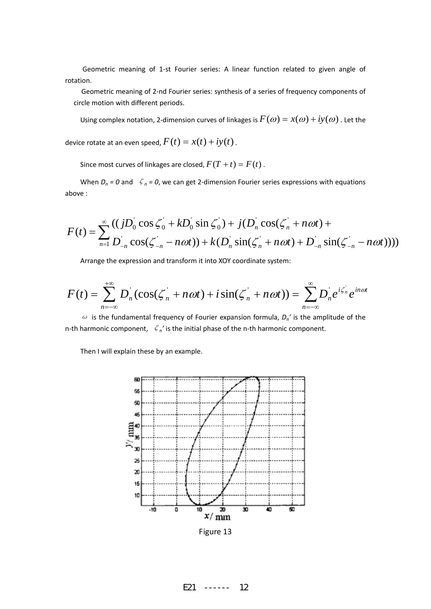Geometric meaning of 1‐st Fourier series: A linear function related to given angle of rotation.

Geometric meaning of 2‐nd Fourier series: synthesis of a series of frequency components of circle motion with different periods.

Using complex notation, 2-dimension curves of linkages is  $F(\omega) = x(\omega) + iy(\omega)$ . Let the

device rotate at an even speed,  $F(t) = x(t) + iy(t)$ .

Since most curves of linkages are closed,  $F(T + t) = F(t)$ .

When  $D_n = 0$  and  $\zeta_n = 0$ , we can get 2-dimension Fourier series expressions with equations above :

$$
F(t) = \sum_{n=1}^{\infty} \frac{((jD_0 \cos \zeta_0' + kD_0 \sin \zeta_0) + j(D_n \cos(\zeta_n' + n\omega t) + D_n \sin(\zeta_n' - n\omega t)) + k(D_n \sin(\zeta_n' + n\omega t) + D_n \sin(\zeta_n' - n\omega t)))}{(D_n \cos(\zeta_n' - n\omega t) + k(D_n \sin(\zeta_n' + n\omega t) + D_n \sin(\zeta_n' - n\omega t)))}
$$

Arrange the expression and transform it into XOY coordinate system:

$$
F(t) = \sum_{n=-\infty}^{+\infty} D_n^{'}(\cos(\zeta_n + n\omega t) + i\sin(\zeta_n + n\omega t)) = \sum_{n=-\infty}^{\infty} D_n^{'} e^{i\zeta_n^{'}t} e^{in\omega t}
$$

 $\omega$  is the fundamental frequency of Fourier expansion formula,  $D_n'$  is the amplitude of the n‐th harmonic component, ζ*n'* is the initial phase of the n‐th harmonic component.

Then I will explain these by an example.



Figure 13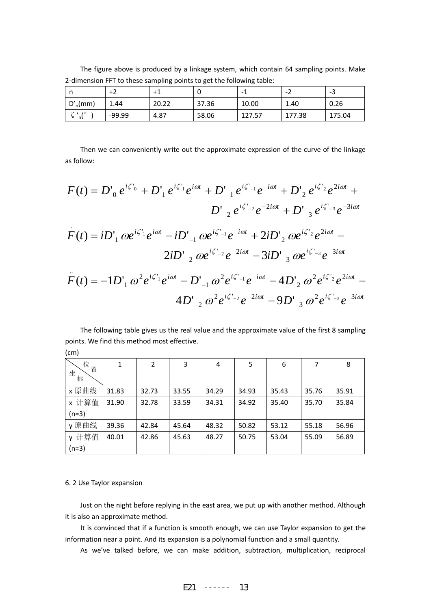The figure above is produced by a linkage system, which contain 64 sampling points. Make 2‐dimension FFT to these sampling points to get the following table:

|                     | $+2$   | $+1$  |       | -      | $\overline{\phantom{a}}$ | -3     |
|---------------------|--------|-------|-------|--------|--------------------------|--------|
| $D'_n$ (mm)         | 1.44   | 20.22 | 37.36 | 10.00  | 1.40                     | 0.26   |
| ັ<br>$'$ , 10<br>n\ | -99.99 | 4.87  | 58.06 | 127.57 | 177.38                   | 175.04 |

Then we can conveniently write out the approximate expression of the curve of the linkage as follow:

$$
F(t) = D'_{0} e^{i\zeta_{0}} + D'_{1} e^{i\zeta_{1}} e^{i\omega t} + D'_{-1} e^{i\zeta_{-1}} e^{-i\omega t} + D'_{2} e^{i\zeta_{2}} e^{2i\omega t} + D'_{-2} e^{i\zeta_{-2}} e^{-2i\omega t} + D'_{-3} e^{i\zeta_{-3}} e^{-3i\omega t}
$$
  
\n
$$
F(t) = iD'_{1} \omega e^{i\zeta_{1}} e^{i\omega t} - iD'_{-1} \omega e^{i\zeta_{-1}} e^{-i\omega t} + 2iD'_{2} \omega e^{i\zeta_{2}} e^{2i\omega t} -
$$
  
\n
$$
2iD'_{-2} \omega e^{i\zeta_{-2}} e^{-2i\omega t} - 3iD'_{-3} \omega e^{i\zeta_{-3}} e^{-3i\omega t}
$$
  
\n
$$
F(t) = -1D'_{1} \omega^{2} e^{i\zeta_{1}} e^{i\omega t} - D'_{-1} \omega^{2} e^{i\zeta_{-1}} e^{-i\omega t} - 4D'_{2} \omega^{2} e^{i\zeta_{2}} e^{2i\omega t} -
$$
  
\n
$$
4D'_{-2} \omega^{2} e^{i\zeta_{-2}} e^{-2i\omega t} - 9D'_{-3} \omega^{2} e^{i\zeta_{-3}} e^{-3i\omega t}
$$

The following table gives us the real value and the approximate value of the first 8 sampling points. We find this method most effective.

| (cm)                |       |                |       |       |       |       |       |       |  |
|---------------------|-------|----------------|-------|-------|-------|-------|-------|-------|--|
| 位<br>置<br>坐标        | 1     | $\overline{2}$ | 3     | 4     | 5     | 6     | 7     | 8     |  |
| x 原曲线               | 31.83 | 32.73          | 33.55 | 34.29 | 34.93 | 35.43 | 35.76 | 35.91 |  |
| x 计算值               | 31.90 | 32.78          | 33.59 | 34.31 | 34.92 | 35.40 | 35.70 | 35.84 |  |
| $(n=3)$             |       |                |       |       |       |       |       |       |  |
| y原曲线                | 39.36 | 42.84          | 45.64 | 48.32 | 50.82 | 53.12 | 55.18 | 56.96 |  |
| 计算值<br>$\mathsf{V}$ | 40.01 | 42.86          | 45.63 | 48.27 | 50.75 | 53.04 | 55.09 | 56.89 |  |
| $(n=3)$             |       |                |       |       |       |       |       |       |  |

#### 6. 2 Use Taylor expansion

Just on the night before replying in the east area, we put up with another method. Although it is also an approximate method.

It is convinced that if a function is smooth enough, we can use Taylor expansion to get the information near a point. And its expansion is a polynomial function and a small quantity.

As we've talked before, we can make addition, subtraction, multiplication, reciprocal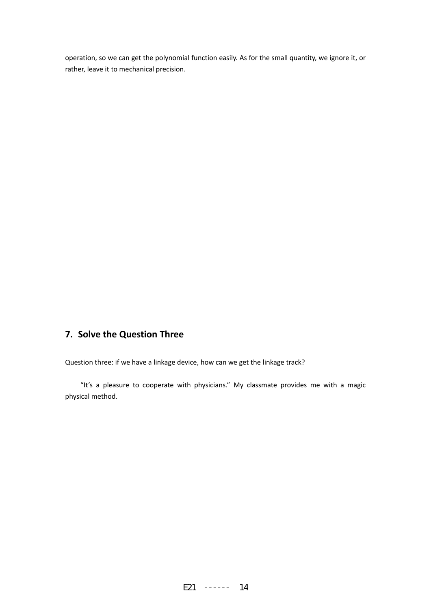operation, so we can get the polynomial function easily. As for the small quantity, we ignore it, or rather, leave it to mechanical precision.

# **7. Solve the Question Three**

Question three: if we have a linkage device, how can we get the linkage track?

"It's a pleasure to cooperate with physicians." My classmate provides me with a magic physical method.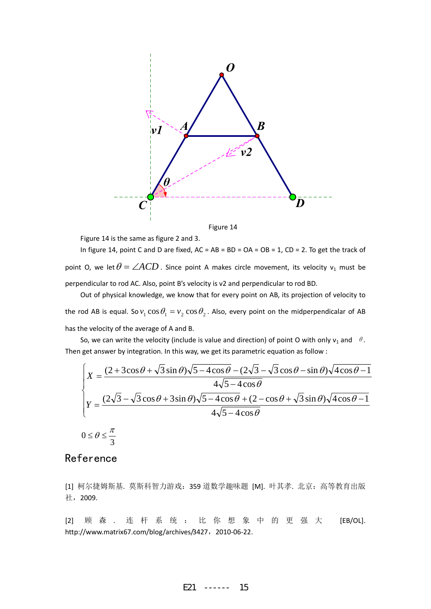

Figure 14

Figure 14 is the same as figure 2 and 3.

In figure 14, point C and D are fixed,  $AC = AB = BD = OA = OB = 1$ ,  $CD = 2$ . To get the track of point O, we let  $\theta = \angle ACD$ . Since point A makes circle movement, its velocity v<sub>1</sub> must be perpendicular to rod AC. Also, point B's velocity is v2 and perpendicular to rod BD.

Out of physical knowledge, we know that for every point on AB, its projection of velocity to the rod AB is equal. So  $v_1 \cos \theta_1 = v_2 \cos \theta_2$ . Also, every point on the midperpendicalar of AB has the velocity of the average of A and B.

So, we can write the velocity (include is value and direction) of point O with only  $v_1$  and  $\theta$ . Then get answer by integration. In this way, we get its parametric equation as follow :

$$
\begin{cases}\nX = \frac{(2+3\cos\theta + \sqrt{3}\sin\theta)\sqrt{5-4\cos\theta} - (2\sqrt{3}-\sqrt{3}\cos\theta-\sin\theta)\sqrt{4\cos\theta}-1}{4\sqrt{5-4\cos\theta}} \\
Y = \frac{(2\sqrt{3}-\sqrt{3}\cos\theta+3\sin\theta)\sqrt{5-4\cos\theta} + (2-\cos\theta+\sqrt{3}\sin\theta)\sqrt{4\cos\theta}-1}{4\sqrt{5-4\cos\theta}} \\
0 \le \theta \le \frac{\pi}{3}\n\end{cases}
$$

# Reference

[1] 柯尔捷姆斯基. 莫斯科智力游戏:359 道数学趣味题 [M]. 叶其孝. 北京:高等教育出版 社,2009.

[2] 顾 森 . 连杆系统:比你想象中的更强大 [EB/OL]. http://www.matrix67.com/blog/archives/3427, 2010-06-22.

$$
E21 \quad \cdots \quad 15
$$